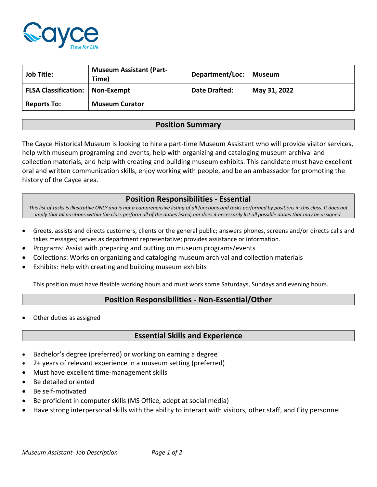

| <b>Job Title:</b>                        | <b>Museum Assistant (Part-</b><br>Time) | Department/Loc:   Museum |              |
|------------------------------------------|-----------------------------------------|--------------------------|--------------|
| <b>FLSA Classification:   Non-Exempt</b> |                                         | Date Drafted:            | May 31, 2022 |
| <b>Reports To:</b>                       | <b>Museum Curator</b>                   |                          |              |

# **Position Summary**

The Cayce Historical Museum is looking to hire a part-time Museum Assistant who will provide visitor services, help with museum programing and events, help with organizing and cataloging museum archival and collection materials, and help with creating and building museum exhibits. This candidate must have excellent oral and written communication skills, enjoy working with people, and be an ambassador for promoting the history of the Cayce area.

### **Position Responsibilities - Essential**

*This list of tasks is illustrative ONLY and is not a comprehensive listing of all functions and tasks performed by positions in this class. It does not imply that all positions within the class perform all of the duties listed, nor does it necessarily list all possible duties that may be assigned.*

- Greets, assists and directs customers, clients or the general public; answers phones, screens and/or directs calls and takes messages; serves as department representative; provides assistance or information.
- Programs: Assist with preparing and putting on museum programs/events
- Collections: Works on organizing and cataloging museum archival and collection materials
- Exhibits: Help with creating and building museum exhibits

This position must have flexible working hours and must work some Saturdays, Sundays and evening hours.

## **Position Responsibilities - Non-Essential/Other**

• Other duties as assigned

### **Essential Skills and Experience**

- Bachelor's degree (preferred) or working on earning a degree
- 2+ years of relevant experience in a museum setting (preferred)
- Must have excellent time-management skills
- Be detailed oriented
- Be self-motivated
- Be proficient in computer skills (MS Office, adept at social media)
- Have strong interpersonal skills with the ability to interact with visitors, other staff, and City personnel